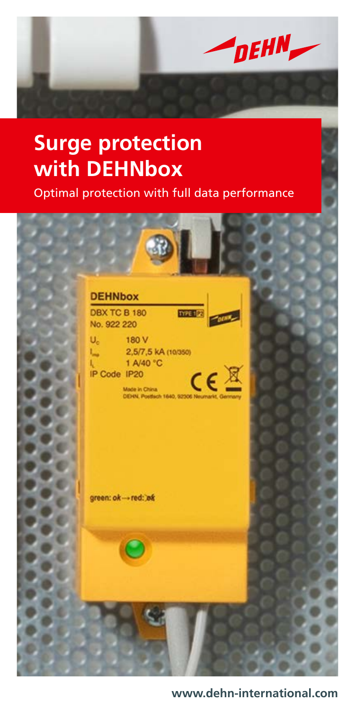

# **Surge protection with DEHNbox**

Optimal protection with full data performance



#### **www.dehn-international.com**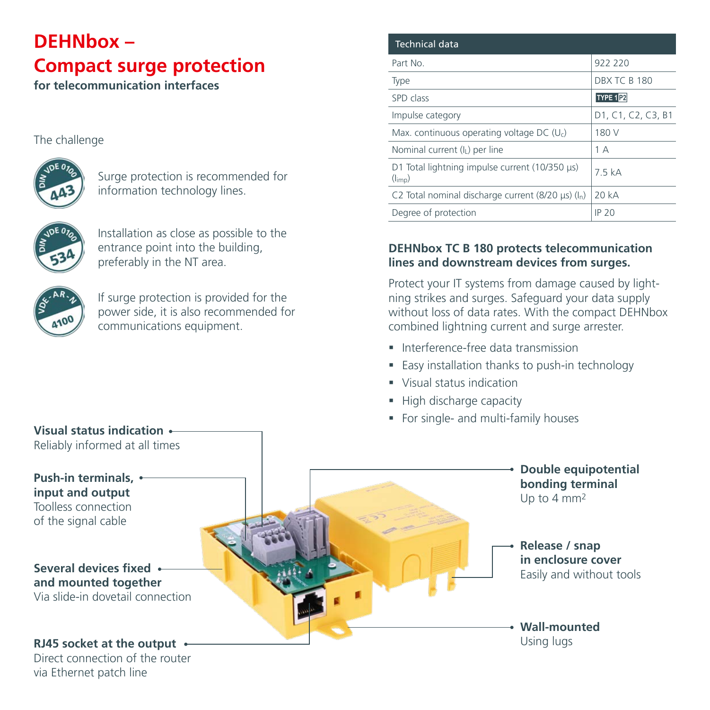# **DEHNbox – Compact surge protection**

**for telecommunication interfaces**

#### The challenge



Surge protection is recommended for information technology lines.



Installation as close as possible to the entrance point into the building, preferably in the NT area.



If surge protection is provided for the power side, it is also recommended for communications equipment.

| Technical data                                                |                     |
|---------------------------------------------------------------|---------------------|
| Part No.                                                      | 922 220             |
| Type                                                          | <b>DBX TC B 180</b> |
| SPD class                                                     | <b>TYPE 1P2</b>     |
| Impulse category                                              | D1, C1, C2, C3, B1  |
| Max. continuous operating voltage DC ( $U_c$ )                | 180 V               |
| Nominal current (I <sub>I</sub> ) per line                    | 1 A                 |
| D1 Total lightning impulse current (10/350 µs)<br>$(l_{imp})$ | 75kA                |
| C2 Total nominal discharge current (8/20 $\mu$ s) (ln)        | 20 kA               |
| Degree of protection                                          | IP 20               |

### **DEHNbox TC B 180 protects telecommunication lines and downstream devices from surges.**

Protect your IT systems from damage caused by lightning strikes and surges. Safeguard your data supply without loss of data rates. With the compact DEHNbox combined lightning current and surge arrester.

- **Interference-free data transmission**
- Easy installation thanks to push-in technology
- Visual status indication
- High discharge capacity
- For single- and multi-family houses



via Ethernet patch line